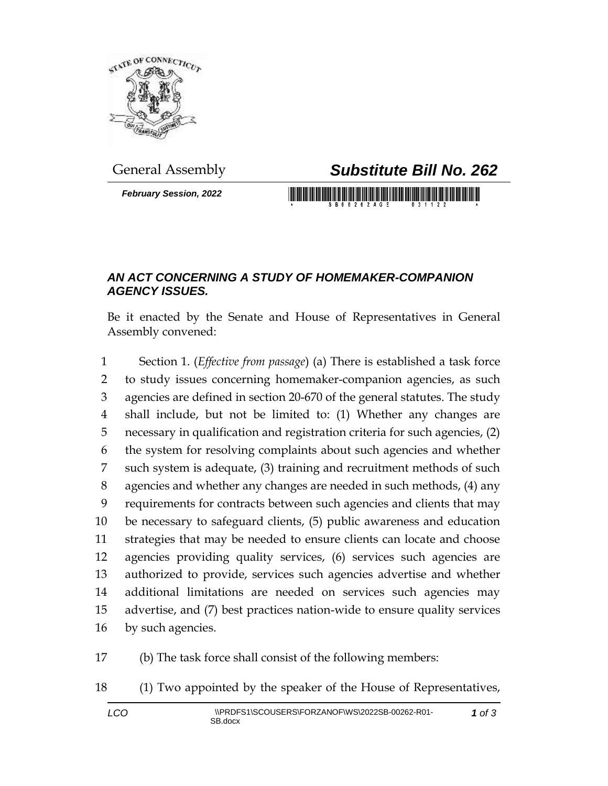

*February Session, 2022*

## General Assembly *Substitute Bill No. 262*

<u> 1989 - An Dùbhlachd ann an Dùbhaidh ann an Dùbhaidh ann an Dùbhaidh ann an Dùbhlachd ann an Dùbhlachd ann an Dùbhlachd ann an Dùbhlachd ann an Dùbhlachd ann an Dùbhlachd ann an Dùbhlachd ann an Dùbhlachd ann an Dùbhlachd</u>

## *AN ACT CONCERNING A STUDY OF HOMEMAKER-COMPANION AGENCY ISSUES.*

Be it enacted by the Senate and House of Representatives in General Assembly convened:

 Section 1. (*Effective from passage*) (a) There is established a task force to study issues concerning homemaker-companion agencies, as such agencies are defined in section 20-670 of the general statutes. The study shall include, but not be limited to: (1) Whether any changes are necessary in qualification and registration criteria for such agencies, (2) the system for resolving complaints about such agencies and whether such system is adequate, (3) training and recruitment methods of such agencies and whether any changes are needed in such methods, (4) any requirements for contracts between such agencies and clients that may be necessary to safeguard clients, (5) public awareness and education strategies that may be needed to ensure clients can locate and choose agencies providing quality services, (6) services such agencies are authorized to provide, services such agencies advertise and whether additional limitations are needed on services such agencies may advertise, and (7) best practices nation-wide to ensure quality services by such agencies.

(b) The task force shall consist of the following members:

(1) Two appointed by the speaker of the House of Representatives,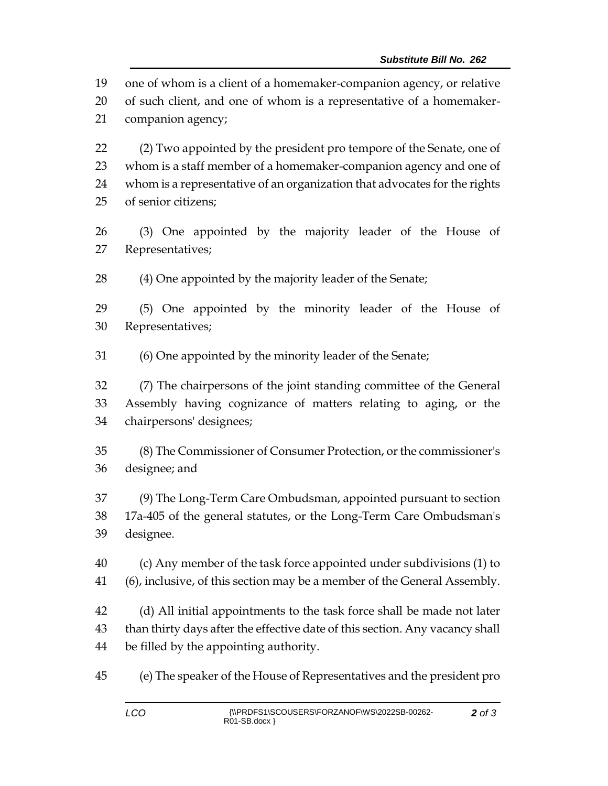one of whom is a client of a homemaker-companion agency, or relative

 of such client, and one of whom is a representative of a homemaker-companion agency;

 (2) Two appointed by the president pro tempore of the Senate, one of whom is a staff member of a homemaker-companion agency and one of whom is a representative of an organization that advocates for the rights of senior citizens;

 (3) One appointed by the majority leader of the House of Representatives;

(4) One appointed by the majority leader of the Senate;

 (5) One appointed by the minority leader of the House of Representatives;

(6) One appointed by the minority leader of the Senate;

 (7) The chairpersons of the joint standing committee of the General Assembly having cognizance of matters relating to aging, or the chairpersons' designees;

 (8) The Commissioner of Consumer Protection, or the commissioner's designee; and

 (9) The Long-Term Care Ombudsman, appointed pursuant to section 17a-405 of the general statutes, or the Long-Term Care Ombudsman's designee.

 (c) Any member of the task force appointed under subdivisions (1) to (6), inclusive, of this section may be a member of the General Assembly.

 (d) All initial appointments to the task force shall be made not later than thirty days after the effective date of this section. Any vacancy shall be filled by the appointing authority.

(e) The speaker of the House of Representatives and the president pro